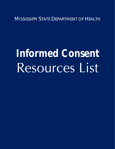MISSISSIPPI STATE DEPARTMENT OF HEALTH

# **Informed Consent**  Resources List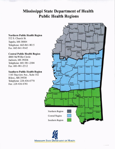#### **Mississippi State Department of Health Public Health Regions**

#### **Northern Public Health Region**

532 S. Church St. Tupelo, MS 38804 Telephone: 662-841-9015  $Fax \cdot 662 - 841 - 9142$ 

#### **Central Public Health Region**

4800 McWillie Circle Jackson, MS 39206 Telephone: 601-981-2304 Fax: 601-981-2312

#### **Southern Public Health Region**

1141 Bayview Ave., Suite 102 **Biloxi**, MS 39530 Telephone: 228-436-6770 Fax: 228-436-6781



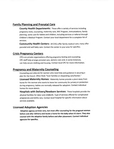#### Family Planning and Prenatal Care

County Health Departments: These offer a variety of services including pregnancy tests, counseling, maternity care, WIC Program, immunizations, family planning, some care for babies and children, including services or referral through Children's Medical Program. Contact your local department for a complete list of services.

Community Health Centers: All cHcs offer family medical care; many offer prenatal and well baby care. Contact the center in your area for specifics.

#### Crisis Pregnancv Centers

CPCs are private organizations offering pregnancy testing and counseling. CPC staff help arrange prenatal care, delivery care and, in some instances, can help secure clothing and housing. Contact local cPc for more information.

#### **Pregnancy and Maternity Counseling**

Counseling and referrals for women who need help and guidance in securing <sup>a</sup> plan for the future. Often finds "host Families or sheparding care/homes."

Licensed Maternity Homes: Maternity homes provide a place away from home for the woman who wants to leave her community for privacy or protection during pregnancy, babies are normally released for adoption. Contact individual homes for more details.

Hospitals with Delivery/Newborn Services: These hospitals provide the physical facilities for labor and childbirth. Type of services offered for complicated pregnancies and births vary. Contact local hospital for specific information about services available.

#### Licensed Adoption Agencies

Adoption agency services vary, but most offer counseling for the pregnant woman before and after delivery and locate a home for the baby when it's born. They also counsel with the adoptive family before and after placement. Contact individual agencies for specifics.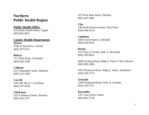## **Northern Public Health Region**

#### **Public Health Office**

532 South Church Street, Tupelo (662) 841-9015

#### **County Health Departments**

**Alcorn**  3706 Jo Ann Drive, Corinth (662) 287-6121

#### **Bolivar**

711 Third Street, Cleveland (662) 843-2706

**Calhoun**  235 S Murphree Street, Pittsboro (662) 412-3260

**Carroll** 7225 MS Hwy17, Carrollton

(662) 237-9224

**Chickasaw** 332 N Jefferson Street, Houston (662) 456-3737

325 West Main Street, Okolona (662) 447-5492

# **Clay**

138 South Division Street, West Point (662) 494-4514

**Coahoma**  1850 Cheryl Street, Clarksdale (662) 624-8316

#### **Desoto**  3212 Hwy 51 South, Suite A, Hernando (662) 429-9814

6569 Cockrum Road, Bldg A, Suite 2, Olive Branch (662) 895-3090

8705 Northwest Drive, Bldg A, Suite1, Southaven (662) 393-2775

#### **Grenada**  1240 Fairground Road, Suite A, Grenada (662) 226-3711

**Itawamba**  110 Crane Street, Fulton (662) 862-3710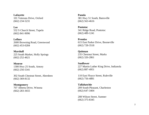**Lafayette** 101 Veterans Drive, Oxford (662) 234-5231

**Lee** 532 S Church Street, Tupelo (662) 841-9096

**Leflore**  2600 Browning Road, Greenwood (662) 453-0284

**Marshall**  225 South Market, Holly Springs (662) 252-4621

**Monroe** 1300 Hwy 25 South, Amory (662) 256-5341

302 South Chestnut Street, Aberdeen (662) 369-8132

**Montgomery**  707 Alberta Drive, Winona (662) 283-3655

**Panola**  381 Hwy 51 South, Batesville (662) 563-4616

**Pontotoc**  341 Ridge Road, Pontotoc (662) 489-1241

**Prentiss** 615 East Parker Drive, Booneville (662) 728-3518

**Quitman** 235 Chestnut Street, Marks (662) 326-2861

**Sunflower** 227 Martin Luther King Drive, Indianola (662) 887-4951

110 East Floyce Street, Ruleville (662) 756-4881

**Tallahatchie**  209 South Pleasant, Charleston (662) 647-3404

208 Wilson Street, Sumner (662) 375-8345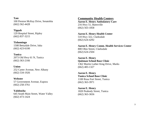**Tate**  100 Preston McKay Drive, Senatobia (662) 562 -4428

**Tippah** 129 Hospital Street, Ripley (662) 837 -3215

**Tishomingo** 1508 Bettydale Drive, Iuka (662) 423 -6100

**Tunica**  2073 Old Hwy 61 N, Tunica (662) 363 -2166

**Union** 252 Carter Avenue, New Albany (662) 534 -1926

**Webster** 57 Government Avenue, Eupora (662) 258 -3761

**Yalobusha** 645 South Main Street, Water Valley (662) 473 -1424

#### **Community Health Centers**

**Aaron E. Henry Ambulatory Care**  216 Hwy 51, Batesville (662) 563 -1858

**Aaron E. Henry Health Center**  510 Hw y 322, Clarksdale (662) 624 -4292

Aaron E. Henry Comm. Health Services Center 800 Ohio Street, Clarksdale (662) 624 -2504

**Aaron E. Henry Quitman School Base Clinic**  1362 Martin Luther King Drive, Marks (662) 483 -1327

**Aaron E. Henry Tunica School Base Clinic** 1100 Rosa Fort Street, Tunica (662) 363 -3971

**Aaron E. Henry** 1820 Peabody Street, Tunica (662) 363 -3656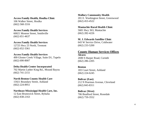#### **Access Family Health, Houlka Clinic**

106 Walker Street, Houlka (662) 568-3316

#### **Access Family Health Services**

60021 Monroe Street, Smithville (662) 651-4637

#### **Access Family Health Services**

12725 Hwy 23 North, Tremont (662) 652-3361

#### **Access Family Health Services**

499 Gloster Creek Village, Suite D1, Tupelo (662) 690-8007

#### **Delta Health Center Incorporated**

702 Martin Luther King Rd., Mound Bayou (662) 741-2151

#### **North Benton County Health Care**

15921 Boundary Street, Ashland (662) 224-8951

#### **Northeast Mississippi Health Care, Inc.**

12 East Brunswick Street, Byhalia (662) 838-2163

#### **Mallory Community Health**  201 E. Washington Street, Greenwood (662) 453-4522

#### **Mantachie Rural Health Clinic**

5681 Hwy 363, Mantachie (662) 282-4226

#### **M. J. Edwards Satellite Clinic**

643 W Service Drive, Coldwater (662) 233-5200

#### **County Human Services Offices**

**Alcorn** 2690 S Harper Road, Corinth (662) 286-2205

#### **Benton**

183 Court Street, Ashland (662) 224-6245

#### **Bolivar (East)** 212 N Pearman Avenue, Cleveland (662) 843-8311

**Bolivar (West)**  706 Bradford Street, Rosedale (662) 759-3552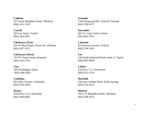**Calhoun**  237 South Murphree Street, Pittsboro (662) 412-3169

**Carroll** 205 Lee Street, Vaiden (662) 464-5961

**Chickasaw (East)**  234 W Main Street, Room 101, Okolona (662) 447-5511

**Chickasaw (West)** 745 W Church Street, Houston (662) 456-3724

**Clay** 360 Washington Street (662) 494-3843

**Coahoma**  923 Ohio Avenue, Clarksdale (662) 624-3050

**Desoto** 3210 Hwy 51 S, Hernando (662) 469-8420

**Grenada** 1240 Fairground Rd., Suite B, Grenada (662) 226-1971

**Itawamba**  305 W. Cedar Street, Fulton (662) 862-9781

**Lafayette**  819 Jackson Avenue, Oxford (662) 234-1861

**Lee** 220 South Industrial Road, Suite A, Tupelo (662) 841-9050

**Leflore**  216 Hwy 7 S, Greenwood (662) 453-3124

**Marshall** 230 East College Street, Holly Springs (662) 252-4511

**Monroe** 104 ½ N Mattubba Street, Aberdeen (662) 369-2872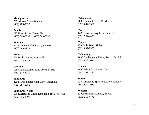**Montgomery**  705 Alberta Drive, Winona (662) 283-2922

**Panola**  275 Nosef Drive, Batesville (662) 563-6292 or (662) 563-6296

**Pontotoc**  341 C Center Ridge Drive, Pontotoc (662) 489-3923

**Prentiss** 200 Bridge Street, Booneville (662) 728-3118

**Quitman** 1054 Martin Luther King Drive, Marks (662) 326-8021

**Sunflower**  225 Martin Luther King Drive, Indianola (662) 887-2051

**Sunflower (North)**  630 Everett and Elisha Langdon Street, Ruleville (662) 756-4301

**Tallahatchie**  200 S. Market Street, Charleston (662) 647-5571

**Tate**  1428 Browns Ferry Road, Senatobia (662) 562-4478

**Tippah**  159 Bails Road, Ripley (662) 837-9307

**Tishomingo** 1008 Battleground Drive, Room 104, Iuka (662) 423-7020

**Tunica**  1490 Edwards Avenue, Tunica (662) 363-1771

**Union** 923 Fairground Spur Road, New Albany (662) 534-1984

**Webster**  53 Government Avenue, Eupora (662) 258-4771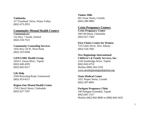**Yalobusha**  217 Frostland Drive, Water Valley (662) 473-2951

#### **Community Mental Health Centers**

**Communicare**  152 Hwy 7 South, Oxford (662) 234-7521

#### **Community Counseling Services**

1032 Hwy 50 W, West Point (662) 323-9266

#### **LIFECORE Health Group**

2434 S. Eason Blvd., Tupelo (662) 640-4595 (662) 842-9217

#### **Life Help**

2504 Browning Road, Greenwood (662) 453-6211

#### **Region One Mental Health Center**

1742 Cheryl Street, Clarksdale (662) 627-7267

**Timber Hills**  601 Foote Street, Corinth (662) 286-9883

#### **Crisis Pregnancy Centers**

**Crisis Pregnancy Center** 200 Old Road, Clarksdale (662) 627-7442

#### **First Choice Center for Women**

723 Colter Drive, New Albany (662) 534-7061

#### **New Beginnings International**

**Children's & Family Services, Inc.**  2164 Southridge Drive, Tupelo (662) 842-6752 Hotline (800) 264-2229 [www.newbeginningsadoptions.org](http://www.newbeginningsadoptions.org/)

**Oasis Medical Center**  2421 Proper Street, Corinth (662) 287-8001

#### **Parkgate Pregnancy Clinic**  100 Parkgate Extended, Tupelo (662) 841-1517 Hotline (662) 842-8000 or (800) 844-5433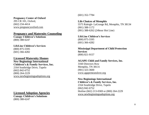#### **Pregnancy Center of Oxford**

295 CR 101, Oxford, (662) 234-4414 [www.pregnancyoxford.com](http://www.pregnancyoxford.com/)

#### **Pregnancy and Maternity Counseling**

**Canopy Children's Solutions** (800) 388-6247

## **LifeLine Children's Services**

(800) 875-5595 (601) 366-4282

#### **Licensed Maternity Homes**

## **New Beginnings International**

**Children's & Family Services, Inc.**  2164 Southridge Drive, Tupelo (662) 842-6752 (800) 264-2229 www.newbeginningsadoptions.org

#### **Licensed Adoption Agencies**

**Canopy Children's Solutions** (800) 388-6247

(601) 352-7784

#### **Life Choices of Memphis**  5575 Raleigh- LaGrange Rd, Memphis, TN 38134

(901) 388-1172 (901) 388-6262 (24hour Hot Line)

**LifeLine Children's Services**  (800) 875-5595 (601) 366-4282

#### **Mississippi Department of Child Protection Services**  (800) 821-9157

#### **AGAPE Child and Family Services, Inc.**  3160 Directors Row

Memphis, TN 38131 (901) 323-3600 [www.agapemeanslove.org](http://www.agapemeanslove.org/)

**New Beginnings International Children's & Family Services, Inc.**  2164 Southridge Drive, Tupelo (662) 842-6752 Hotline (662) 213-0369 or (800) 264-2229 [www.newbeginningsadoptions.org](http://www.newbeginningsadoptions.org/)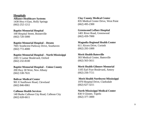**Hospitals Alliance Healthcare Systems**  1430 Hwy 4 East, Holly Springs (662) 252-1212

**Baptist Memorial Hospital**  100 Hospital Street, Booneville (662) 720-5000

**Baptist Memorial Hospital – Desoto**  7601 Southcrest Parkway Drive, Southaven

(662) 772-4000

**Baptist Memorial Hospital – North Mississippi**  2301 S Lamar Boulevard, Oxford

(662) 232-8100

**Baptist Memorial Hospital – Union County**  200 Hwy 30 West, New Albany (662) 538-7631

**Bolivar Medical Center**  901 E Sunflower Road, Cleveland (662) 846-0061

**Calhoun Health Services**  140 Burke Calhoun City Road, Calhoun City (662) 628-6611

**Clay County Medical Center**  835 Medical Center Drive, West Point (662) 495-2300

**Greenwood Leflore Hospital**  1401 River Road, Greenwood (662) 459-7000

**Magnolia Regional Health Center**  611 Alcorn Drive, Corinth (662) 293-1000

**Merit Health Batesville**  303 Medical Center, Batesville (662) 563-5611

**Merit Health Gilmore Memorial** 1105 Earl Frye Boulevard, Amory (662) 256-7111

**Merit Health Northwest Mississippi** 1970 Hospital Drive, Clarksdale

(662) 627-3211

**North Mississippi Medical Center**  830 S Gloster, Tupelo (662) 377-3000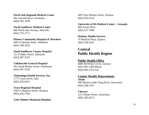**North Oak Regional Medical Center**  401 Getwell Drive, Senatobia (662) 562-3100

**North Sunflower Medical Center**  840 North Oak Avenue, Ruleville (662) 756-2711

**Pioneer Community Hospital of Aberdeen**  400 S Chestnut Street, Aberdeen (662) 369-2455

**South Sunflower County Hospital**  121 E Baker Street, Indianola (662) 887-5235

**Tallahatchie General Hospital**  201 South Market Street, Charleston (662) 647-5535

**Tishomingo Health Services, Inc.**  1777 Curtis Drive, Iuka (662) 423-6051

**Trace Regional Hospital**  1002 E Madison Street, Houston (662) 456-3700

**Tyler Holmes Memorial Hospital** 

409 Tyler Holmes Drive, Winona (662) 283-4114

**University of Ms Medical Center – Grenada**  960 Avent Drive (662) 227-7000

**Webster Health Services**  70 Medical Plaza, Eupora (662) 258-6221

## **Central Public Health Region**

## **Public Health Office**

4800 McWillie Circle, Jackson (601) 981-2304 Phone (601) 981-2312 Fax

## **County Health Departments**

**Attala** 999 Martin Luther King Drive, Kosciusko (662) 289-2351

**Choctaw**  123 Chester Street, Ackerman (662) 285-6213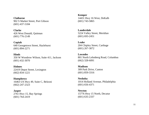**Claiborne** 902 S Market Street, Port Gibson (601) 437-5184

**Clarke**  426 West Donald, Quitman (601) 776-2149

**Copiah**  640 Georgetown Street, Hazlehurst (601) 894-2271

**Hinds** 350 W Woodrow Wilson, Suite 411, Jackson (601) 432-3070

**Holmes**  22419 Depot Street, Lexington (662) 834-1221

**Humphreys** 16463 US Hwy 49, Suite C, Belzoni (662) 247-2323

**Jasper**  2761 Hwy 15, Bay Springs (601) 764-2419

**Kemper** 14431 Hwy 16 West, DeKalb (601) 743-5865

**Lauderdale**  5224 Valley Street, Meridian (601) 693-2451

**Leake**  204 Chipley Street, Carthage (601) 267-3072

**Lowndes**  801 North Lehmberg Road, Columbus (662) 328-6091

**Madison** 309 Park Drive, Canton (601) 859-3316

**Neshoba**  1014 Holland Avenue, Philadelphia (601) 656-4371

**Newton** 15776 Hwy 15 North, Decatur (601) 635-2337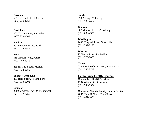**Noxubee** 5931 W Pearl Street, Macon (662) 726-4451

**Oktibbeha** 

203 Yeates Street, Starkville (662) 323-4565

#### **Rankin**

401 Parkway Drive, Pearl (601) 420-4959

#### **Scott**

519 Airport Road, Forest (601) 469-4941

235 Hwy 13 South, Morton (601) 732-8080

**Sharkey/Issaquena** 297 Race Street, Rolling Fork (601) 873-6202

**Simpson** 2789 Simpson Hwy 49, Mendenhall (601) 847-2755

**Smith** 353-A Hwy 37, Raleigh (601) 782-4472

**Warren** 807 Monroe Street, Vicksburg (601) 636-4356

**Washington** 1633 Hospital Street, Greenville (662) 332-8177

**Winston** 95 Vance Street, Louisville (662) 773-8087

**Yazoo** 230 East Broadway Street, Yazoo City (662) 746-3713

**Community Health Centers** 

**Central MS Health Services**  1134 Winter Street, Jackson (601) 948-5572

**Claiborne County Family Health Center**  2045 Hwy 61 North, Port Gibson (601) 437-3050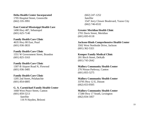**Delta Health Center Incorporated**  1705 Hospital Street, Greenville (662) 335-3991

**East Central Mississippi Health Care** 

1490 Hwy 487, Sebastopol (601) 625-7140

#### **Family Health Care Clinic**  4635 Hwy 80 East, Pearl

(601) 936-3833

**Family Health Care Clinic**  1551 W Government Street, Brandon (601) 825-3163

#### **Family Health Care Clinic**

1307-B Airport Road N, Flowood (601) 936-3485

**Family Health Care Clinic** 

1205 2nd Street, Pelahatchie (601) 854-6805

#### **G. A. Carmichael Family Health Center**

1668 West Peace Street, Canton (601) 859-5213 *Satellite* 116 N Hayden, Belzoni

(662) 247-1252 *Satellite* 1547 Jerry Clower Boulevard, Yazoo City (662) 746-6532

**Greater Meridian Health Clinic**  2701 Davis Street, Meridian (601) 693-0118

**Jackson-Hinds Comprehensive Health Center** 3502 West Northside Drive, Jackson (601) 362-5321

**Kemper Family Medical Clinic** 201 Birch Street, DeKalb (601) 743-2642

**Mallory Community Health Center**  276 Nissan Parkway, Canton (601) 855-5275

**Mallory Community Health Center**  33795 Hwy 12 E, Durant

(662) 653-0505

**Mallory Community Health Center**  17280 Hwy 17 South, Lexington (662) 834-1857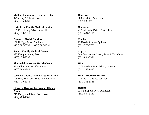**Mallory Community Health Center**  9715 Hwy 17, Lexington (662) 235-4731

**Oktibbeha Family Medical Center**  105 Felix Long Drive, Starkville

(662) 323-2911

**Outreach Health Services**  130 N High Street, Shubuta (601) 687-5859 or (601) 687-1391

**Scooba Family Medical Center**  927 Kemper Street, Scooba (662) 476-9595

**Shuqualak-Noxubee Health Center**  67 Mulberry Street, Shuqualak (662) 793-4845

**Winston County Family Medical Clinic** 199 Hwy 15 South, Suite D, Louisville (662) 779-1175

**County Human Services Offices Attala** 717 Fairground Road, Kosciusko (662) 289-4881

**Choctaw** 583 W Main, Ackerman (662) 285-6269

**Claiborne**  417 Industrial Drive, Port Gibson (601) 437-5115

**Clarke** 29 Harris Avenue, Quitman (601) 776-3756

**Copiah**  640 Georgetown Street, Suite 2, Hazlehurst (601) 894-2321

**Hinds**  4777 Medgar Evers Blvd., Jackson (601) 362-9892

**Hinds-Midtown Branch**  215 McTyre Street, Jackson (601) 355-5536

**Holmes**  22545 Depot Street, Lexington (662) 834-3142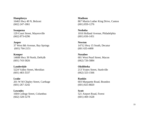**Humphreys** 16463 Hwy 49 N, Belzoni (662) 247-1861

**Issaquena** 129 Court Street, Mayersville (662) 873-6296

**Jasper**  37 West 8th Avenue, Bay Springs (601) 764-2151

**Kemper**  14608 Hwy 39 North, DeKalb (601) 743-5826

**Lauderdale**  5224 Valley Street, Meridian (601) 483-3337

**Leake**  201 W M Chipley Street, Carthage (601) 267-3242

**Lowndes**  1604 College Street, Columbus (662) 328-5278

**Madison** 867 Martin Luther King Drive, Canton (601) 859-1276

**Neshoba**  1016 Holland Avenue, Philadelphia (601) 656-1451

**Newton** 14712 Hwy 15 South, Decatur (601 635-4490

**Noxubee** 601 West Pearl Street, Macon (662) 726-5884

**Oktibbeha** 213 Yeates Street, Starkville (662) 323-1566

**Rankin** 603 Marquette Road, Brandon (601) 825-8820

**Scott** 521 Airport Road, Forest (601) 469-1628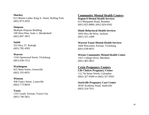**Sharkey**  613 Martin Luther King Jr. Street, Rolling Fork (601) 873-2655

**Simpson** Multiple-Purpose Building 109 West Pine, Suite 1, Mendenhall (601) 847-3815

#### **Smith**

353 Hwy 37, Raleigh (601) 782-4505

**Warren** 1316 Openwood Street, Vicksburg (601) 636-1512

**Washington** 925 Main Street, Greenville (662) 335-6051

**Winston**

458 Vance Street, Louisville (662) 773-8034

**Yazoo** 1315 Grady Avenue, Yazoo City (601) 746-5821

## **Community Mental Health Centers**

**Region 8 Mental Health Services**  613 Marquette Road, Brandon (601) 825-8800, (601) 824-0342

**Hinds Behavioral Health Services**  3450 Hwy 80 West, Jackson (601) 321-2400

**Warren-Yazoo Mental Health Services**  3444 Wisconsin Avenue, Vicksburg (601) 638-0031

**Weems Community Mental Health Center**  1415 College Drive, Meridian (601) 483-4821

**Crisis Pregnancy Centers Life Choices Pregnancy Center**  112 7th Street North, Columbus

(662) 327-0500 or (662) 327-0501

**Starkville Pregnancy Care Center**  301B Academy Road, Starkville (662) 324-7011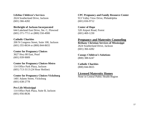**Lifeline Children's Services**  2624 Southerland Drive, Jackson (601) 366-4282

**Birthright of Jackson Incorporated**  644 Lakeland East Drive, Ste. C, Flowood (601) 371-7711 or (800) 550-4900

**Catholic Charities** 200 N Congress Street, Suite 100, Jackson (601) 355-8634 or (800) 844-8655

**Center for Pregnancy Choices**  3627 Hwy 80 East, Pearl (601) 939-9009

**Center for Pregnancy Choices-Metro**  114 Office Park Plaza, Jackson (601) 713-3113 (24 Hour Hotline)

**Center for Pregnancy Choices-Vicksburg**  1401 Adams Street, Vicksburg (601) 638-2778

**Pro Life Mississippi**  114 Office Park Plaza, Suite B, Jackson (601) 956-8636

**CPC Pregnancy and Family Resource Center** 913 Valley View Drive, Philadelphia (601) 656-9712

**Center of Hope**  520 Airport Road, Forest (601) 469-1230

#### **Pregnancy and Maternity Counseling**

**Bethany Christian Services of Mississippi**  2624 Southerland Drive, Jackson (601) 366-4282

**Canopy Children's Solutions**  (800) 388-6247

**Catholic Charities**  (800) 844-8655

**Licensed Maternity Homes**

None in Central Public Health Region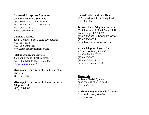#### **Licensed Adoption Agencies**

**Canopy Children's Solutions** 1801 North West Street, Jackson (601) 352 -7784 or (800) 388 -6247 (601) 968 -0028 Fax [www.mchscares.org](http://www.mchscares.org/)

#### **Catholic Charities**

200 N Congress Street, Suite 100, Jackson (601) 355 -8634 (601) 960 -8493 Fax [www.catholiccharitiesjackson.org](http://www.catholiccharitiesjackson.org/)

#### **Lifeline Children's Services**

2624 Southerland Street, Jackson (601) 366 -4282 or (800) 875 -5595 [www.lifelinechild.org](http://www.lifelinechild.org/)

**Mississippi Department of Child Protection Services**  (800) 821 -9157

#### **Mississippi Department of Human Services Adoption Unit** (601) 359 -4980

**Sunnybrook Children's Home** 222 Sunnybrook Road, Ridgeland (601) 856 -6555

#### **Beacon House Adoption Services**

5917 Jones Creek Road, Suite 100B Baton Rouge, LA 70817 (225) 753 -5551 or 1(888) 987 -6300 (225) 753 -6866 Fax www.beaconhouseadoption.com

#### **Acorn Adoption Agency, Inc.**

1 Sanctuary Blvd, Suite 301B Mandeville, LA 70471 (985) 626 -3800 (985) 626 -3801 Fax www.acornadoption.info

#### **Hospitals**

**Alliance Health System** 5000 Hwy 39 North, Meridian (601) 483 -6211

#### **Anderson Regional Medical Center**  2124 14th Street, Meridian (601) 553 -6000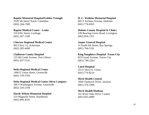**Baptist Memorial Hospital/Golden Triangle** 

2520 5th Street North, Columbus (662) 244-1500

**Baptist Medical Center - Leake**  310 Ellis Street, Carthage (601) 267-1100

**Choctaw Regional Medical Center**  8613 Hwy 12, Ackerman (662) 285-4400

**Claiborne County Hospital**  123 McComb Avenue, Port Gibson (601) 437-5141

**Delta Regional Medical Center**  1400 E Union Street, Greenville (662) 378-3783

**Delta Regional Medical Center (West Campus)** 300 S Washington Avenue, Greenville (662) 334-2169

**Hardy Wilson Memorial Hospital**  233 Magnolia Street, Hazlehurst (601) 894-4541

**H. C. Watkins Memorial Hospital** 605 S Archusa Avenue, Quitman (601) 776-6925

**Holmes County Hospital & Clinics** 239 Bowling Green Road, Lexington (662) 834-1321

**Jasper General Hospital**  15 South 6th Street, Bay Springs (601) 764-2101

**King Daughters Hospital -Yazoo City**  823 Grand Avenue, Yazoo City (601) 746-2261

**Laird Hospital**  25117 Hwy15, Union (601) 774-8214

**Merit Health Central**  1850 Chadwick Drive, Jackson (601) 376-1000

**Merit Health Madison** 161 River Oaks Drive, Canton (601) 855-4000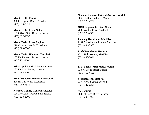**Merit Health Rankin**

350 Crossgates Blvd., Brandon (601) 825-2811

#### **Merit Health River Oaks**

1030 River Oaks Drive, Jackson (601) 932-1030

#### **Merit Health River Region**

2100 Hwy 61 North, Vicksburg (601) 883-5000

#### **Merit Health Woman's Hospital**

1026 N Flowood Drive, Jackson (601) 932-1000

#### **Mississippi Baptist Medical Center**

1225 N State Street, Jackson (601) 968-1000

#### **Montfort Jones Memorial Hospital**

220 Hwy 12 West, Kosciusko (662) 289-4311

#### **Neshoba County General Hospital**

1001 Holland Avenue, Philadelphia (601) 633-1200

**Noxubee General Critical Access Hospital**  606 N Jefferson Street, Macon (662) 726-4231

#### **OCH Regional Medical Center**

400 Hospital Road, Starkville (662) 323-4320

#### **Regency Hospital of Meridian**

1102 Constitution Avenue, Meridian (601) 484-7900

#### **Rush Foundation Hospital**

1314 19th Avenue, Meridian (601) 483-0011

#### **S. E. Lackey Memorial Hospital**

330 N. Broad Street, Forest (601) 469-4151

#### **Scott Regional Hospital**

317 Hwy 13 South, Morton (601) 732-6301

#### **St. Dominic**  969 Lakeland Drive, Jackson (601) 200-2000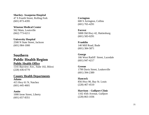**Sharkey - Issaquena Hospital**  47 S Fourth Street, Rolling Fork (601) 873 -4395

**Winston Medical Center**  562 Main, Louisville (662) 773 -6211

**University Hospital** 2500 N State Street, Jackson (601) 984 -1000

## **Southern Public Health Region Public Health Office**

1141 Bayview Ave., Suite 102, Biloxi (228) 436 -6770

#### **County Health Departments**

**Adams**  415 Hwy 61 N, Natchez (601) 445 -4601

**Amite**  1000 Irene Street, Liberty (601) 657 -8351

**Covington**  600 S Arrington, Collins (601) 765 -4291

**Forrest**  5008 Old Hwy 42, Hattiesburg (601) 583 -0291

**Franklin** 140 Mill Road, Bude (601) 384 -5871

**George**  166 West Ratliff Street, Lucedale (601) 947 -4217

**Greene** 1799 Davis Street, Leakesville (601) 394 -2389

**Hancock**  856 Hwy 90, Bay St. Louis (228) 467 -4510

**Harrison – Gulfport Clinic**  1102 45th Avenue, Gulfport (228) 863 -1036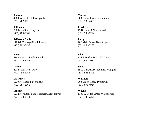**Jackson** 4600 Vega Street, Pascagoula (228) 762-1117

**Jefferson**

700 Main Street, Fayette (601) 786-3061

**Jefferson Davis**  1185-A Frontage Road, Prentiss (601) 792-5135

**Jones**  5168 Hwy 11 South, Laurel (601) 426-3258

**Lamar** 207 Main Street, Purvis (601) 794-1055

**Lawrence**  1230 Nola Road, Monticello (601) 587-2561

**Lincoln**  1212 Northpark Lane Northeast, Brookhaven (601) 833-3314

**Marion** 908 Sumrall Road, Columbia (601) 736-2676

**Pearl River** 7547 Hwy 11 North, Carriere (601) 798-6212

**Perry**  102 Main Street, New Augusta (601) 964-3288

**Pike**  114 E Presley Blvd., McComb (601) 684-1030

**Stone**  1510 Central Avenue East, Wiggins (601) 928-5293

**Walthall**  903 Union Road, Tylertown (601) 876-4924

**Wayne** 1100-A Cedar Street, Waynesboro (601) 735-2351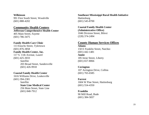**Wilkinson** 991 First South Street, Woodville (601) 888-4202

#### **Community Health Centers**

**Jefferson Comprehensive Health Center** 405 Main Street, Fayette (601) 786-3475

#### **Family Health Care Clinic**

113 Enochs Street, Tylertown (601) 876-3858 **Family Health Center, Inc.** 117 S. 11th Avenue, Laurel (601) 425-3033 *Satellite*

203 Broad Street, Sandersville (601) 426-9918

#### **Coastal Family Health Center**

1616 Williams Drive, Leakesville (601) 394-2381

#### *Satellite* **State Line Medical Center**

256 Main Street, State Line (601) 848-7912

**Southeast Mississippi Rural Health Initiative**  Hattiesburg (601) 545-8700

#### **Coastal Family Health Center (Administrative Office)** 1046 Division Street, Biloxi (228) 374-2494

#### **County Human Services Offices**

**Adams**  150 E Franklin Street, Natchez (601) 442-1481 **Amite** 185 Irene Street, Liberty (601) 657-8066

#### **Covington** 107 Arrington Drive, Collins (601) 765-6585

#### **Forrest**

1604 W Pine Street, Hattiesburg (601) 554-4350

#### **Franklin** 90 Mill Road, Bude (601) 384-5837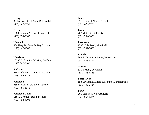**George**  38 London Street, Suite B, Lucedale (601) 947-7551

**Greene** 1008 Jackson Avenue, Leakesville (601) 394-2362

**Hancock**  856 Hwy 90, Suite D, Bay St. Louis (228) 467-4565

**Harrison** 10260 Larkin Smith Drive, Gulfport (228) 897-5600

**Jackson** 5343 Jefferson Avenue, Moss Point (228) 769-3275

**Jefferson** 235 Medgar Evers Blvd., Fayette (601) 786-3571

**Jefferson Davis**  1185B Frontage Road, Prentiss (601) 792-4206

**Jones** 5110 Hwy 11 North, Ellisville (601) 426-1200

**Lamar** 207 Main Street, Purvis (601) 794-1050

**Lawrence**  1200 Nola Road, Monticello (601) 587-7632

**Lincoln**  300 E Chickasaw Street, Brookhaven (601) 833-3311

**Marion** 511 S Main, Columbia (601) 736-6383

**Pearl River**  153 Savannah Millard Rd., Suite C, Poplarville (601) 403-2424

**Perry**  201 1st Street, New Augusta (601) 964-8374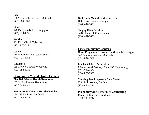**Pike**  1002 Warren Krout Road, McComb (601) 684-7100

**Stone** 

648 Fairgrounds Street, Wiggins (601) 928-4996

**Walthall**  901 Union Road, Tylertown (601) 876-2191

**Wayne** 1104A Cedar Street, Waynesboro (601) 735-4752

**Wilkinson** 1391 Hwy 61 South, Woodville (601) 888-4311

**Community Mental Health Centers**

**Pine Belt Mental Health Resources**  103 S 19th Avenue, Hattiesburg (601) 544-4641

**Southwest MS Mental Health Complex**  1701 White Street, McComb (601) 684-2173

**Gulf Coast Mental Health Services**  1600 Broad Avenue, Gulfport (228) 497-0690

**Singing River Services**  3407 Shamrock Court, Gautier (228) 497-0690

## **Crisis Pregnancy Centers**

**Crisis Pregnancy Center of Southwest Mississippi**  647 Delaware Avenue, McComb (601) 684-3987

**Lifeline Children's Services** 

7 Professional Parkway, Suite 103, Hattiesburg (601) 264-4984 (800) 875-5595

**Morning Star Pregnancy Care Center**  2204 24th Avenue, Gulfport (228) 864-4221

**Pregnancy and Maternity Counseling Canopy Children's Solutions**

(800) 388-6247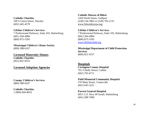**Catholic Charities**  109 S Union Street, Natchez (601) 442-4579

**Lifeline Children's Services**  7 Professional Parkway, Suite 103, Hattiesburg (601) 264-4984 (800) 875-5595

**Mississippi Children's Home Society**  (800) 388-6247

**Licensed Maternity Homes Catholic Charities**  (855) 847-0555

**Licensed Adoption Agencies**

**Canopy Children's Services**  (800) 388-6247

**Catholic Charities**  1 (800) 844-8655

**Catholic Diocese of Biloxi**  1450 North Street, Gulfport (228) 234-3903 or (228) 702-2131 [www.biloxidiocese.org](http://www.biloxidiocese.org/)

**Lifeline Children's Services**  7 Professional Parkway, Suite 103, Hattiesburg (601) 264-4984 (800) 875-5595

[www.lifelinechild.org](http://www.lifelinechild.org/)

**Mississippi Department of Child Protection Services**  (800) 821-9157

**Hospitals Covington County Hospital**  701 S Holly Street, Collins (601) 765-6711

**Field Memorial Community Hospital**  270 Main Street, Centerville (601) 645-5221

**Forrest General Hospital**  6051 U.S. Hwy 49 South, Hattiesburg (601) 288-7000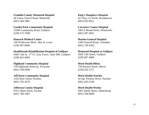**Franklin County Memorial Hospital** 

40 Union Church Road, Meadville (601) 384-5801

**Garden Park Community Hospital** 

15200 Community Road, Gulfport (228) 575-7000

#### **Hancock Medical Center**

149 Drinkwater Blvd., Bay St. Louis (228) 467-8600

#### **HealthSouth Rehabilitation Hospital of Gulfport**

4500 13th St., 3rd Fl., East Tower, Suite 900, Gulfport (228) 822-6965

#### **Highland Community Hospital**

130 Highlands Parkway, Picayune (601) 358-9400

**Jeff Davis Community Hospital**  1102 Rose Street, Prentiss (601) 792-4276

**Jefferson County Hospital** 

870 S Main Street, Fayette (601) 786-3401

**King's Daughters Hospital**  427 Hwy 51 North, Brookhaven (601) 833-6011

#### **Lawrence County Hospital**

1065 E Broad Street, Monticello (601) 587-4051

#### **Marion General Hospital**

1560 Sumrall Road, Columbia (601) 736-6303

**Memorial Hospital at Gulfport**  4500 13th Street, Gulfport (228) 867-4000

#### **Merit Health Biloxi**

150 Reynoir Street, Biloxi (228) 432-1571

**Merit Health Natchez** 54 Sgt. Prentiss Drive, Natchez (601) 443-2100

**Merit Health Wesley** 5001 Hardy Street, Hattiesburg (601) 268-8000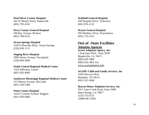**Pearl River County Hospital**  305 W Moody Street, Poplarville (601) 795-4543

**Perry County General Hospital**  206 Bay Avenue, Richton (601) 788-6316

#### **Ocean Springs Hospital**

3109 E Bienville Blvd., Ocean Springs (228) 818-1111

**Singing River Hospital**  2809 Denny Avenue, Pascagoula (228) 809-5000

#### **South Central Regional Medical Center**

1220 Jefferson, Laurel (601) 426-4000

#### **Southwest Mississippi Regional Medical Center**

215 Marion Avenue, McComb (601) 249-5500

#### **Stone County Hospital**

1434 E Central Avenue, Wiggins (601) 928-6600

**Walthall General Hospital**  100 Hospital Drive, Tylertown (601) 876-2122

#### **Wayne General Hospital**

950 Matthew Drive, Waynesboro (601) 735-5151

# **Out-of -State Facilities**

#### **Adoption Agencies**

**Acorn Adoption Agency, Inc.**  1 Sanctuary Blvd., Suite 301B Mandeville, LA 70471 (985) 626-3800 (985) 626-3801 Fax [www.acornadoption.info](http://www.acornadoption.info/)

#### **AGAPE Child and Family Services, Inc**.

3160 Directors Row Memphis, TN 38131 (901) 323-3600

#### **Beacon House Adoption Services, Inc.**

5917 Jones Creek Road, Suite 100B Baton Rouge, LA 70817 (225) 753-5551 1(888) 987-6300